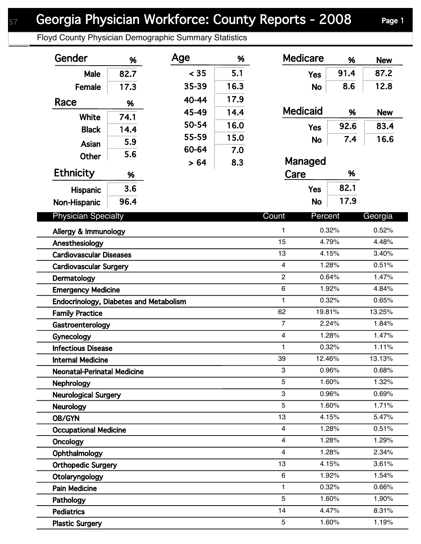Floyd County Physician Demographic Summary Statistics

| Gender                                 | %    | Age   | %    | <b>Medicare</b>  | %     | <b>New</b> |
|----------------------------------------|------|-------|------|------------------|-------|------------|
| Male                                   | 82.7 | < 35  | 5.1  | <b>Yes</b>       | 91.4  | 87.2       |
| Female                                 | 17.3 | 35-39 | 16.3 | <b>No</b>        | 8.6   | 12.8       |
| Race                                   |      | 40-44 | 17.9 |                  |       |            |
|                                        | %    | 45-49 | 14.4 | <b>Medicaid</b>  | %     | <b>New</b> |
| White                                  | 74.1 | 50-54 | 16.0 |                  | 92.6  | 83.4       |
| <b>Black</b>                           | 14.4 | 55-59 | 15.0 | <b>Yes</b>       |       |            |
| Asian                                  | 5.9  | 60-64 | 7.0  | <b>No</b>        | 7.4   | 16.6       |
| <b>Other</b>                           | 5.6  | > 64  | 8.3  | Managed          |       |            |
| <b>Ethnicity</b>                       | %    |       |      | Care             | %     |            |
| <b>Hispanic</b>                        | 3.6  |       |      | <b>Yes</b>       | 82.1  |            |
|                                        | 96.4 |       |      | <b>No</b>        | 17.9  |            |
| Non-Hispanic                           |      |       |      |                  |       |            |
| <b>Physician Specialty</b>             |      |       |      | Count<br>Percent |       | Georgia    |
| Allergy & Immunology                   |      |       |      | 1                | 0.32% | 0.52%      |
| Anesthesiology                         |      |       |      | 15               | 4.79% | 4.48%      |
| <b>Cardiovascular Diseases</b>         |      |       |      | 13               | 4.15% | 3.40%      |
| <b>Cardiovascular Surgery</b>          |      |       |      | $\overline{4}$   | 1.28% | 0.51%      |
| Dermatology                            |      |       |      | $\overline{2}$   | 0.64% | 1.47%      |
| <b>Emergency Medicine</b>              |      |       |      | 6                | 1.92% | 4.84%      |
| Endocrinology, Diabetes and Metabolism |      |       |      | 1                | 0.32% | 0.65%      |
| <b>Family Practice</b>                 |      |       |      | 62<br>19.81%     |       | 13.25%     |
| Gastroenterology                       |      |       |      | $\overline{7}$   | 2.24% | 1.84%      |
| Gynecology                             |      |       |      | 4                | 1.28% | 1.47%      |
| <b>Infectious Disease</b>              |      |       |      | 1                | 0.32% | 1.11%      |
| <b>Internal Medicine</b>               |      |       |      | 39<br>12.46%     |       | 13.13%     |
| <b>Neonatal-Perinatal Medicine</b>     |      |       |      | 3                | 0.96% | 0.68%      |
| Nephrology                             |      |       |      | 5                | 1.60% | 1.32%      |
| <b>Neurological Surgery</b>            |      |       |      | 3                | 0.96% | 0.69%      |
| <b>Neurology</b>                       |      |       |      | 5                | 1.60% | 1.71%      |
| OB/GYN                                 |      |       |      | 13               | 4.15% | 5.47%      |
| <b>Occupational Medicine</b>           |      |       |      | 4                | 1.28% | 0.51%      |
| Oncology                               |      |       |      | 4                | 1.28% | 1.29%      |
| Ophthalmology                          |      |       |      | 4                | 1.28% | 2.34%      |
| <b>Orthopedic Surgery</b>              |      |       |      | 13               | 4.15% | 3.61%      |
| Otolaryngology                         |      |       |      | 6                | 1.92% | 1.54%      |
| <b>Pain Medicine</b>                   |      |       |      | 1                | 0.32% | 0.66%      |
| Pathology                              |      |       |      | 5                | 1.60% | 1.90%      |
| <b>Pediatrics</b>                      |      |       |      | 14               | 4.47% | 8.31%      |
| <b>Plastic Surgery</b>                 |      |       |      | 5                | 1.60% | 1.19%      |